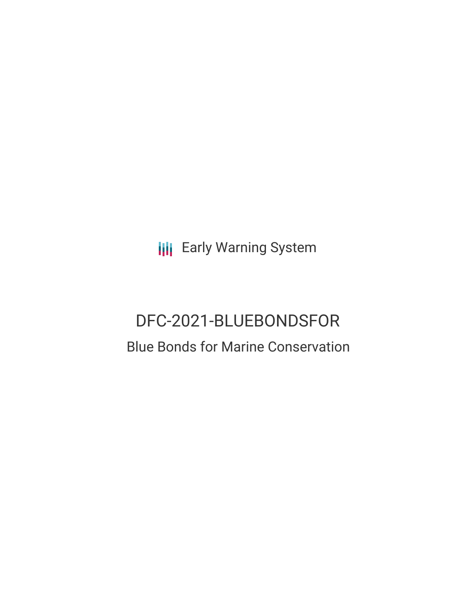**III** Early Warning System

# DFC-2021-BLUEBONDSFOR Blue Bonds for Marine Conservation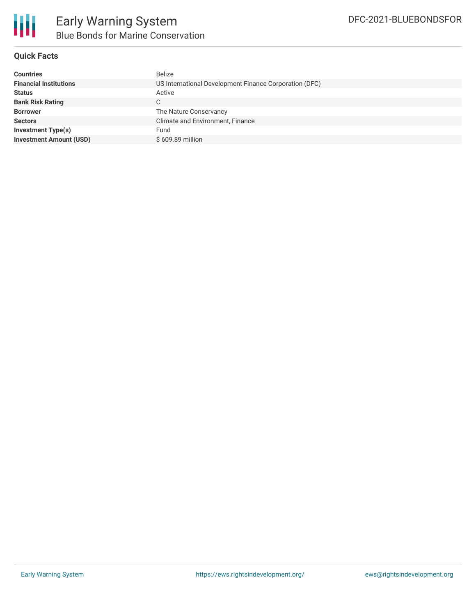

#### **Quick Facts**

| <b>Countries</b>               | <b>Belize</b>                                          |  |  |  |
|--------------------------------|--------------------------------------------------------|--|--|--|
| <b>Financial Institutions</b>  | US International Development Finance Corporation (DFC) |  |  |  |
| <b>Status</b>                  | Active                                                 |  |  |  |
| <b>Bank Risk Rating</b>        | С                                                      |  |  |  |
| <b>Borrower</b>                | The Nature Conservancy                                 |  |  |  |
| <b>Sectors</b>                 | Climate and Environment, Finance                       |  |  |  |
| Investment Type(s)             | Fund                                                   |  |  |  |
| <b>Investment Amount (USD)</b> | \$609.89 million                                       |  |  |  |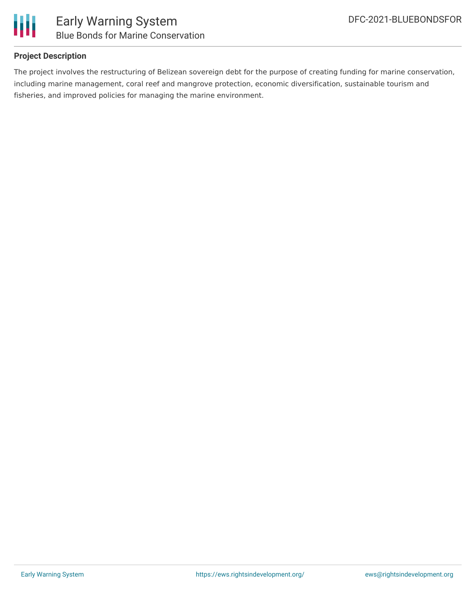

#### **Project Description**

The project involves the restructuring of Belizean sovereign debt for the purpose of creating funding for marine conservation, including marine management, coral reef and mangrove protection, economic diversification, sustainable tourism and fisheries, and improved policies for managing the marine environment.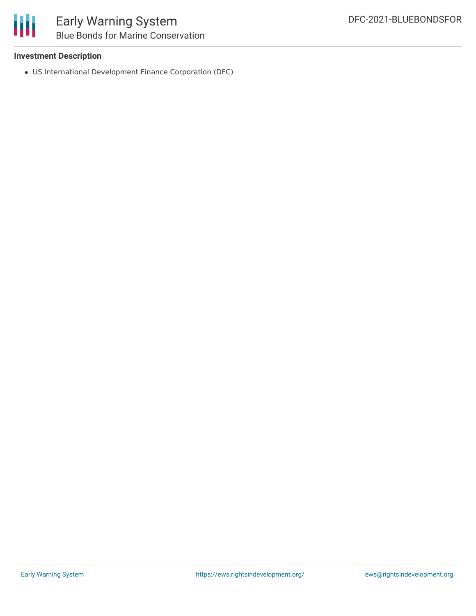

## Early Warning System Blue Bonds for Marine Conservation

#### **Investment Description**

US International Development Finance Corporation (DFC)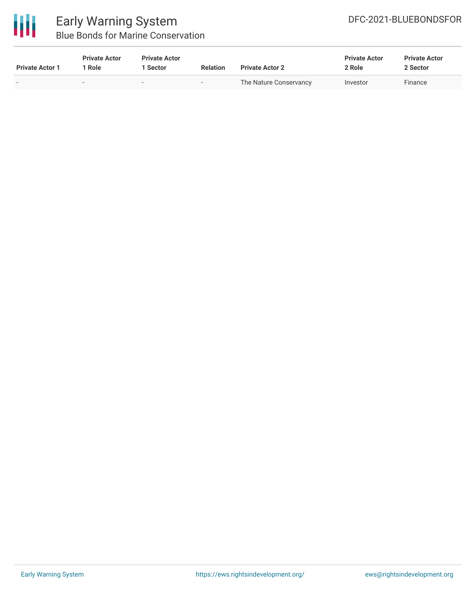

### Early Warning System Blue Bonds for Marine Conservation

| <b>Private Actor 1</b>   | <b>Private Actor</b><br>  Role | <b>Private Actor</b><br>1 Sector | <b>Relation</b>          | <b>Private Actor 2</b> | <b>Private Actor</b><br>2 Role | <b>Private Actor</b><br>2 Sector |
|--------------------------|--------------------------------|----------------------------------|--------------------------|------------------------|--------------------------------|----------------------------------|
| $\overline{\phantom{a}}$ | -                              | $\overline{\phantom{0}}$         | $\overline{\phantom{a}}$ | The Nature Conservancy | Investor                       | Finance                          |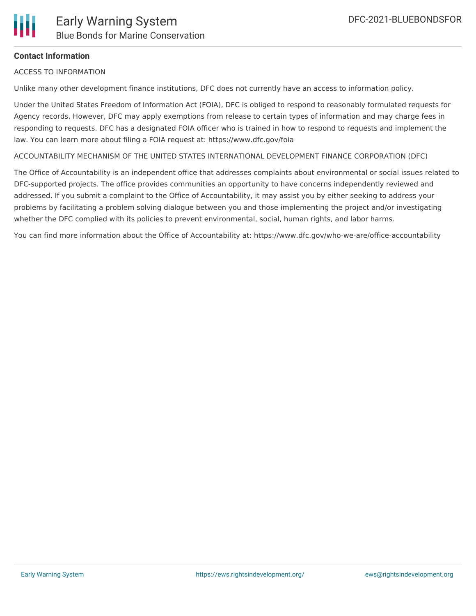#### **Contact Information**

ACCESS TO INFORMATION

Unlike many other development finance institutions, DFC does not currently have an access to information policy.

Under the United States Freedom of Information Act (FOIA), DFC is obliged to respond to reasonably formulated requests for Agency records. However, DFC may apply exemptions from release to certain types of information and may charge fees in responding to requests. DFC has a designated FOIA officer who is trained in how to respond to requests and implement the law. You can learn more about filing a FOIA request at: https://www.dfc.gov/foia

ACCOUNTABILITY MECHANISM OF THE UNITED STATES INTERNATIONAL DEVELOPMENT FINANCE CORPORATION (DFC)

The Office of Accountability is an independent office that addresses complaints about environmental or social issues related to DFC-supported projects. The office provides communities an opportunity to have concerns independently reviewed and addressed. If you submit a complaint to the Office of Accountability, it may assist you by either seeking to address your problems by facilitating a problem solving dialogue between you and those implementing the project and/or investigating whether the DFC complied with its policies to prevent environmental, social, human rights, and labor harms.

You can find more information about the Office of Accountability at: https://www.dfc.gov/who-we-are/office-accountability